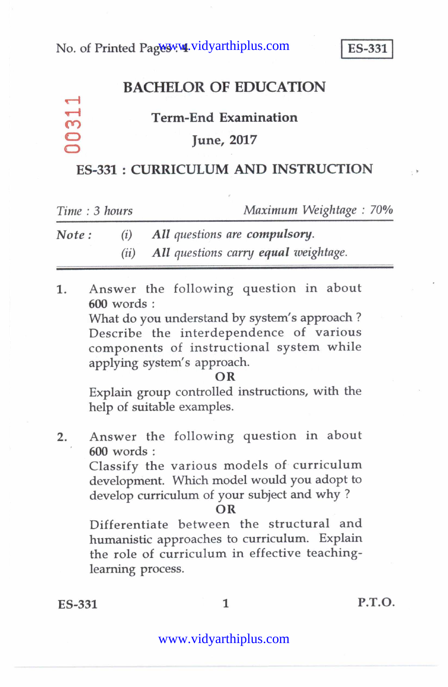## **BACHELOR OF EDUCATION**

### **Term-End Examination**

### **June, 2017**

### **ES-331 : CURRICULUM AND INSTRUCTION**

| Time: 3 hours |                        | Maximum Weightage: 70%               |
|---------------|------------------------|--------------------------------------|
| Note :        | $\left( \iota \right)$ | All questions are compulsory.        |
|               | (ii)                   | All questions carry equal weightage. |

1. Answer the following question in about **600** words :

> What do you understand by system's approach ? Describe the interdependence of various components of instructional system while applying system's approach.

#### **OR**

Explain group controlled instructions, with the help of suitable examples.

2. Answer the following question in about **600** words :

> Classify the various models of curriculum development. Which model would you adopt to develop curriculum of your subject and why ?

#### **OR**

Differentiate between the structural and humanistic approaches to curriculum. Explain the role of curriculum in effective teachinglearning process.

**co co**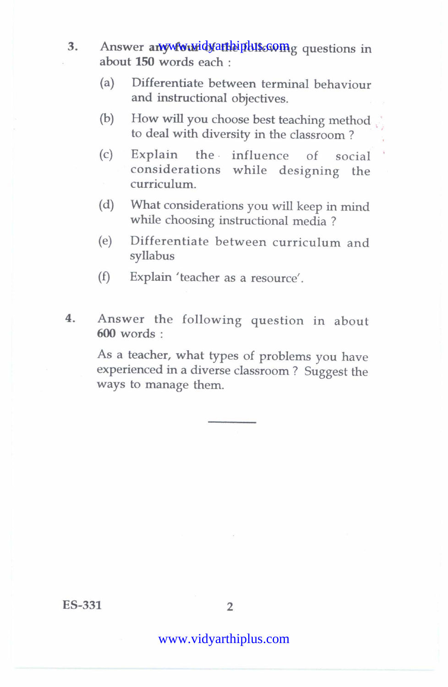- 3. Answer any wive widy at the pulse of the questions in about **150** words each :
	- (a) Differentiate between terminal behaviour and instructional objectives.
	- (b) How will you choose best teaching method to deal with diversity in the classroom ?
	- (c) Explain the influence of social considerations while designing the curriculum.
	- (d) What considerations you will keep in mind while choosing instructional media ?
	- (e) Differentiate between curriculum and syllabus
	- (f) Explain 'teacher as a resource'.
- **4.** Answer the following question in about **600** words :

As a teacher, what types of problems you have experienced in a diverse classroom ? Suggest the ways to manage them.

ES-331 2

## www.vidyarthiplus.com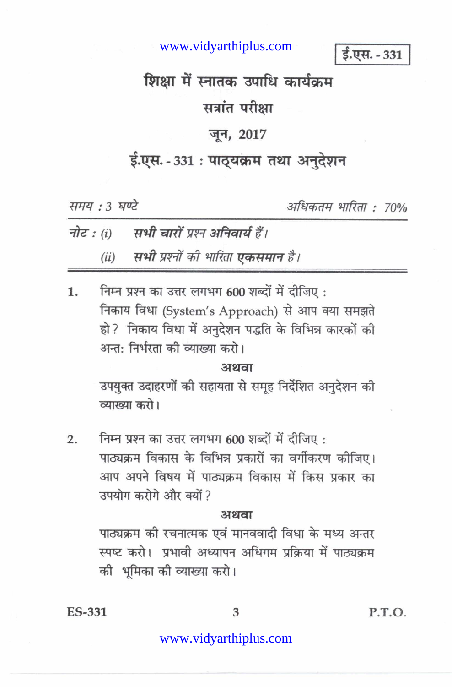www.vidyarthiplus.com

ई.एस. - 331

# शिक्षा में स्नातक उपाधि कार्यक्रम

## सत्रांत परीक्षा

## जून, 2017

# ई.एस. - 331: पाठ्यक्रम तथा अनुदेशन

समय: 3 घण्टे

अधिकतम भारिता : 70%

- सभी चारों प्रश्न अनिवार्य हैं। नोट :  $(i)$ 
	- (ii) सभी प्रश्नों की भारिता एकसमान है।

निम्न प्रश्न का उत्तर लगभग 600 शब्दों में दीजिए:  $1<sub>1</sub>$ निकाय विधा (System's Approach) से आप क्या समझते हो? निकाय विधा में अनुदेशन पद्धति के विभिन्न कारकों की अन्त: निर्भरता की व्याख्या करो।

#### अथवा

उपयुक्त उदाहरणों की सहायता से समूह निर्देशित अनुदेशन की व्याख्या करो।

निम्न प्रश्न का उत्तर लगभग 600 शब्दों में दीजिए:  $2.$ पाठ्यक्रम विकास के विभिन्न प्रकारों का वर्गीकरण कोजिए। आप अपने विषय में पाठ्यक्रम विकास में किस प्रकार का उपयोग करोगे और क्यों ?

#### अथवा

पाठ्यक्रम की रचनात्मक एवं मानववादी विधा के मध्य अन्तर स्पष्ट करो। प्रभावी अध्यापन अधिगम प्रक्रिया में पाठ्यक्रम की भूमिका की व्याख्या करो।

**ES-331** 

P.T.O.

### www.vidyarthiplus.com